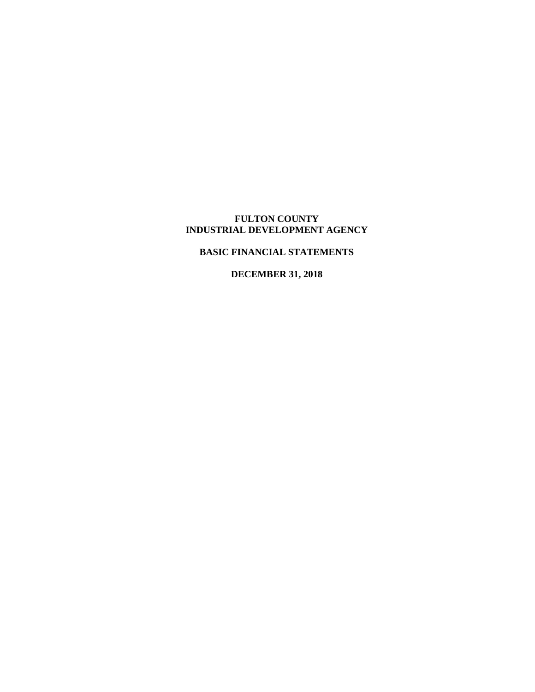# **BASIC FINANCIAL STATEMENTS**

**DECEMBER 31, 2018**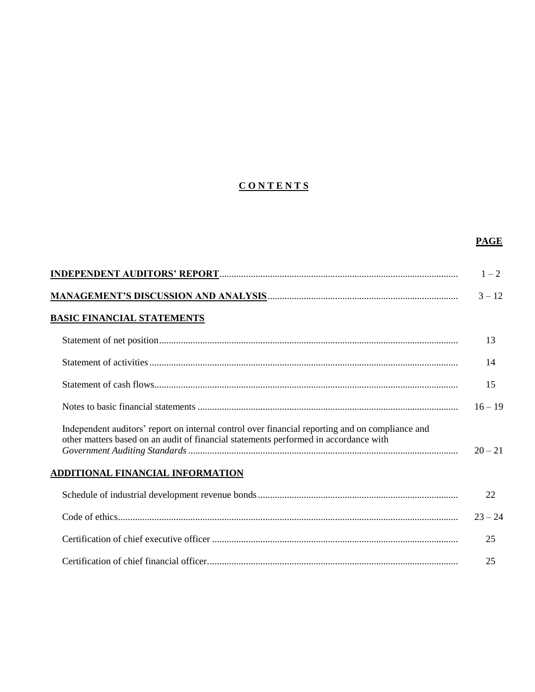# **C O N T E N T S**

|                                                                                                                                                                                         | <b>PAGE</b> |
|-----------------------------------------------------------------------------------------------------------------------------------------------------------------------------------------|-------------|
|                                                                                                                                                                                         | $1 - 2$     |
|                                                                                                                                                                                         | $3 - 12$    |
| <b>BASIC FINANCIAL STATEMENTS</b>                                                                                                                                                       |             |
|                                                                                                                                                                                         | 13          |
|                                                                                                                                                                                         | 14          |
|                                                                                                                                                                                         | 15          |
|                                                                                                                                                                                         | $16 - 19$   |
| Independent auditors' report on internal control over financial reporting and on compliance and<br>other matters based on an audit of financial statements performed in accordance with | $20 - 21$   |
| ADDITIONAL FINANCIAL INFORMATION                                                                                                                                                        |             |
|                                                                                                                                                                                         | 22          |
|                                                                                                                                                                                         | $23 - 24$   |
|                                                                                                                                                                                         | 25          |
|                                                                                                                                                                                         | 25          |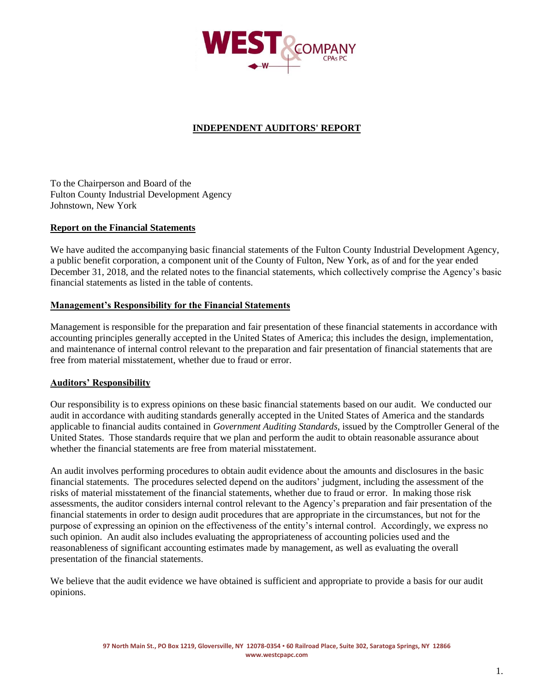

# **INDEPENDENT AUDITORS' REPORT**

To the Chairperson and Board of the Fulton County Industrial Development Agency Johnstown, New York

#### **Report on the Financial Statements**

We have audited the accompanying basic financial statements of the Fulton County Industrial Development Agency, a public benefit corporation, a component unit of the County of Fulton, New York, as of and for the year ended December 31, 2018, and the related notes to the financial statements, which collectively comprise the Agency's basic financial statements as listed in the table of contents.

#### **Management's Responsibility for the Financial Statements**

Management is responsible for the preparation and fair presentation of these financial statements in accordance with accounting principles generally accepted in the United States of America; this includes the design, implementation, and maintenance of internal control relevant to the preparation and fair presentation of financial statements that are free from material misstatement, whether due to fraud or error.

#### **Auditors' Responsibility**

Our responsibility is to express opinions on these basic financial statements based on our audit. We conducted our audit in accordance with auditing standards generally accepted in the United States of America and the standards applicable to financial audits contained in *Government Auditing Standards*, issued by the Comptroller General of the United States. Those standards require that we plan and perform the audit to obtain reasonable assurance about whether the financial statements are free from material misstatement.

An audit involves performing procedures to obtain audit evidence about the amounts and disclosures in the basic financial statements. The procedures selected depend on the auditors' judgment, including the assessment of the risks of material misstatement of the financial statements, whether due to fraud or error. In making those risk assessments, the auditor considers internal control relevant to the Agency's preparation and fair presentation of the financial statements in order to design audit procedures that are appropriate in the circumstances, but not for the purpose of expressing an opinion on the effectiveness of the entity's internal control. Accordingly, we express no such opinion. An audit also includes evaluating the appropriateness of accounting policies used and the reasonableness of significant accounting estimates made by management, as well as evaluating the overall presentation of the financial statements.

We believe that the audit evidence we have obtained is sufficient and appropriate to provide a basis for our audit opinions.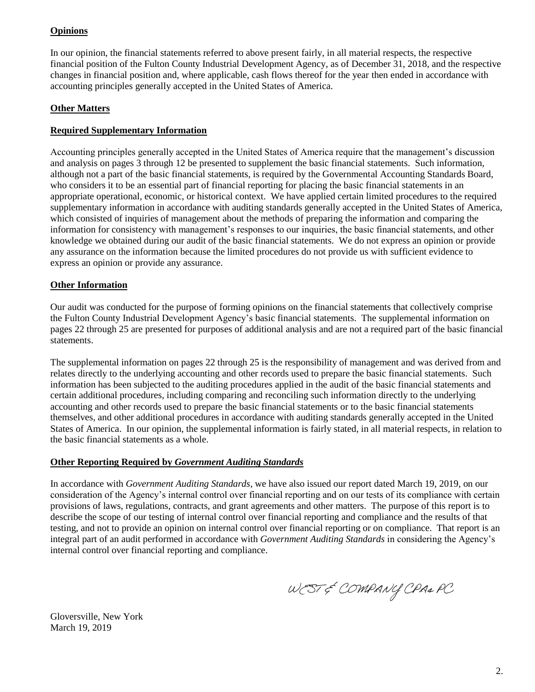# **Opinions**

In our opinion, the financial statements referred to above present fairly, in all material respects, the respective financial position of the Fulton County Industrial Development Agency, as of December 31, 2018, and the respective changes in financial position and, where applicable, cash flows thereof for the year then ended in accordance with accounting principles generally accepted in the United States of America.

# **Other Matters**

# **Required Supplementary Information**

Accounting principles generally accepted in the United States of America require that the management's discussion and analysis on pages 3 through 12 be presented to supplement the basic financial statements. Such information, although not a part of the basic financial statements, is required by the Governmental Accounting Standards Board, who considers it to be an essential part of financial reporting for placing the basic financial statements in an appropriate operational, economic, or historical context. We have applied certain limited procedures to the required supplementary information in accordance with auditing standards generally accepted in the United States of America, which consisted of inquiries of management about the methods of preparing the information and comparing the information for consistency with management's responses to our inquiries, the basic financial statements, and other knowledge we obtained during our audit of the basic financial statements. We do not express an opinion or provide any assurance on the information because the limited procedures do not provide us with sufficient evidence to express an opinion or provide any assurance.

## **Other Information**

Our audit was conducted for the purpose of forming opinions on the financial statements that collectively comprise the Fulton County Industrial Development Agency's basic financial statements. The supplemental information on pages 22 through 25 are presented for purposes of additional analysis and are not a required part of the basic financial statements.

The supplemental information on pages 22 through 25 is the responsibility of management and was derived from and relates directly to the underlying accounting and other records used to prepare the basic financial statements. Such information has been subjected to the auditing procedures applied in the audit of the basic financial statements and certain additional procedures, including comparing and reconciling such information directly to the underlying accounting and other records used to prepare the basic financial statements or to the basic financial statements themselves, and other additional procedures in accordance with auditing standards generally accepted in the United States of America. In our opinion, the supplemental information is fairly stated, in all material respects, in relation to the basic financial statements as a whole.

# **Other Reporting Required by** *Government Auditing Standards*

In accordance with *Government Auditing Standards*, we have also issued our report dated March 19, 2019, on our consideration of the Agency's internal control over financial reporting and on our tests of its compliance with certain provisions of laws, regulations, contracts, and grant agreements and other matters. The purpose of this report is to describe the scope of our testing of internal control over financial reporting and compliance and the results of that testing, and not to provide an opinion on internal control over financial reporting or on compliance. That report is an integral part of an audit performed in accordance with *Government Auditing Standards* in considering the Agency's internal control over financial reporting and compliance.

WEST & COMPANY CPA& PC

Gloversville, New York March 19, 2019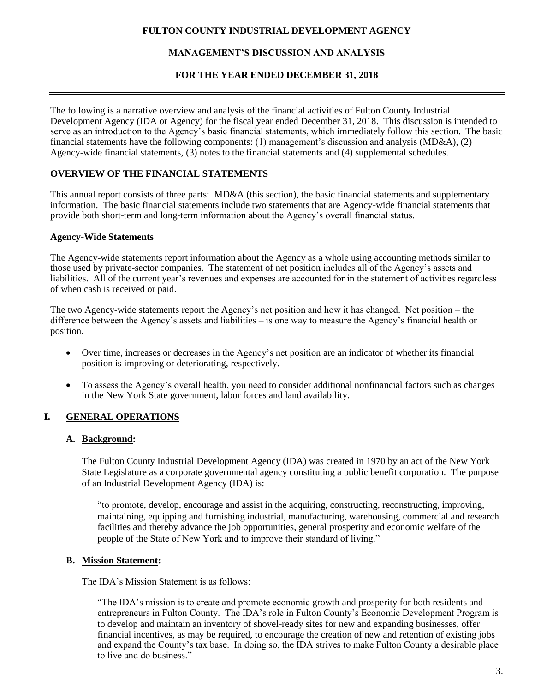# **MANAGEMENT'S DISCUSSION AND ANALYSIS**

#### **FOR THE YEAR ENDED DECEMBER 31, 2018**

The following is a narrative overview and analysis of the financial activities of Fulton County Industrial Development Agency (IDA or Agency) for the fiscal year ended December 31, 2018. This discussion is intended to serve as an introduction to the Agency's basic financial statements, which immediately follow this section. The basic financial statements have the following components: (1) management's discussion and analysis (MD&A), (2) Agency-wide financial statements, (3) notes to the financial statements and (4) supplemental schedules.

## **OVERVIEW OF THE FINANCIAL STATEMENTS**

This annual report consists of three parts: MD&A (this section), the basic financial statements and supplementary information. The basic financial statements include two statements that are Agency-wide financial statements that provide both short-term and long-term information about the Agency's overall financial status.

#### **Agency-Wide Statements**

The Agency-wide statements report information about the Agency as a whole using accounting methods similar to those used by private-sector companies. The statement of net position includes all of the Agency's assets and liabilities. All of the current year's revenues and expenses are accounted for in the statement of activities regardless of when cash is received or paid.

The two Agency-wide statements report the Agency's net position and how it has changed. Net position – the difference between the Agency's assets and liabilities – is one way to measure the Agency's financial health or position.

- Over time, increases or decreases in the Agency's net position are an indicator of whether its financial position is improving or deteriorating, respectively.
- To assess the Agency's overall health, you need to consider additional nonfinancial factors such as changes in the New York State government, labor forces and land availability.

# **I. GENERAL OPERATIONS**

### **A. Background:**

The Fulton County Industrial Development Agency (IDA) was created in 1970 by an act of the New York State Legislature as a corporate governmental agency constituting a public benefit corporation. The purpose of an Industrial Development Agency (IDA) is:

"to promote, develop, encourage and assist in the acquiring, constructing, reconstructing, improving, maintaining, equipping and furnishing industrial, manufacturing, warehousing, commercial and research facilities and thereby advance the job opportunities, general prosperity and economic welfare of the people of the State of New York and to improve their standard of living."

### **B. Mission Statement:**

The IDA's Mission Statement is as follows:

"The IDA's mission is to create and promote economic growth and prosperity for both residents and entrepreneurs in Fulton County. The IDA's role in Fulton County's Economic Development Program is to develop and maintain an inventory of shovel-ready sites for new and expanding businesses, offer financial incentives, as may be required, to encourage the creation of new and retention of existing jobs and expand the County's tax base. In doing so, the IDA strives to make Fulton County a desirable place to live and do business."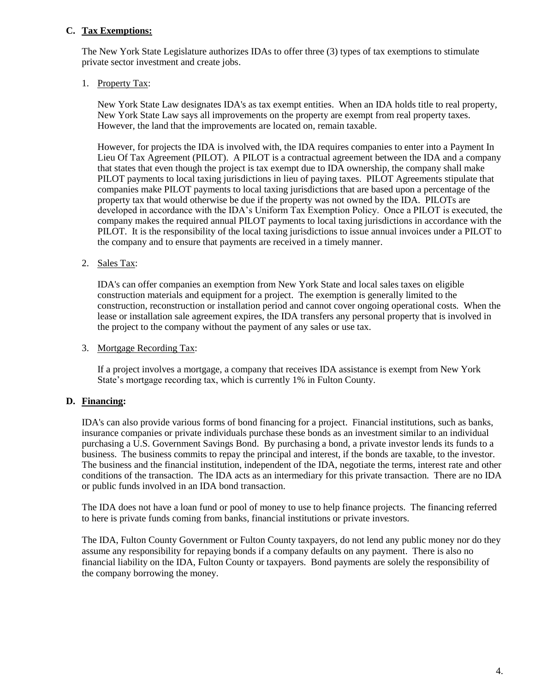# **C. Tax Exemptions:**

The New York State Legislature authorizes IDAs to offer three (3) types of tax exemptions to stimulate private sector investment and create jobs.

# 1. Property Tax:

New York State Law designates IDA's as tax exempt entities. When an IDA holds title to real property, New York State Law says all improvements on the property are exempt from real property taxes. However, the land that the improvements are located on, remain taxable.

However, for projects the IDA is involved with, the IDA requires companies to enter into a Payment In Lieu Of Tax Agreement (PILOT). A PILOT is a contractual agreement between the IDA and a company that states that even though the project is tax exempt due to IDA ownership, the company shall make PILOT payments to local taxing jurisdictions in lieu of paying taxes. PILOT Agreements stipulate that companies make PILOT payments to local taxing jurisdictions that are based upon a percentage of the property tax that would otherwise be due if the property was not owned by the IDA. PILOTs are developed in accordance with the IDA's Uniform Tax Exemption Policy. Once a PILOT is executed, the company makes the required annual PILOT payments to local taxing jurisdictions in accordance with the PILOT. It is the responsibility of the local taxing jurisdictions to issue annual invoices under a PILOT to the company and to ensure that payments are received in a timely manner.

## 2. Sales Tax:

IDA's can offer companies an exemption from New York State and local sales taxes on eligible construction materials and equipment for a project. The exemption is generally limited to the construction, reconstruction or installation period and cannot cover ongoing operational costs. When the lease or installation sale agreement expires, the IDA transfers any personal property that is involved in the project to the company without the payment of any sales or use tax.

### 3. Mortgage Recording Tax:

If a project involves a mortgage, a company that receives IDA assistance is exempt from New York State's mortgage recording tax, which is currently 1% in Fulton County.

# **D. Financing:**

IDA's can also provide various forms of bond financing for a project. Financial institutions, such as banks, insurance companies or private individuals purchase these bonds as an investment similar to an individual purchasing a U.S. Government Savings Bond. By purchasing a bond, a private investor lends its funds to a business. The business commits to repay the principal and interest, if the bonds are taxable, to the investor. The business and the financial institution, independent of the IDA, negotiate the terms, interest rate and other conditions of the transaction. The IDA acts as an intermediary for this private transaction. There are no IDA or public funds involved in an IDA bond transaction.

The IDA does not have a loan fund or pool of money to use to help finance projects. The financing referred to here is private funds coming from banks, financial institutions or private investors.

The IDA, Fulton County Government or Fulton County taxpayers, do not lend any public money nor do they assume any responsibility for repaying bonds if a company defaults on any payment. There is also no financial liability on the IDA, Fulton County or taxpayers. Bond payments are solely the responsibility of the company borrowing the money.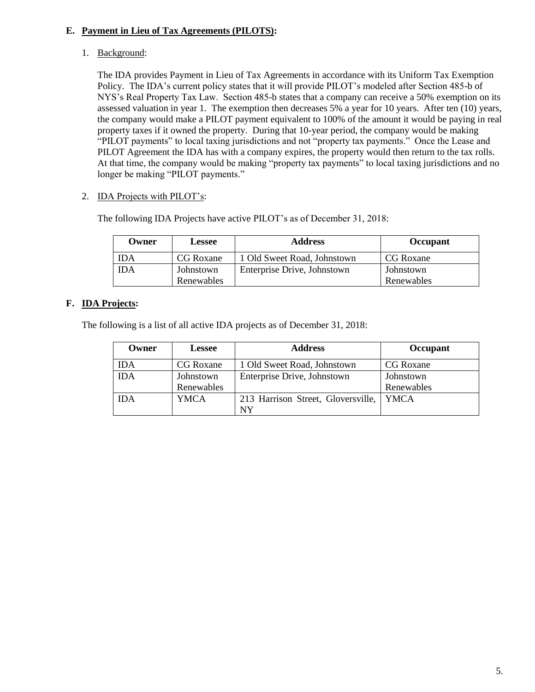# **E. Payment in Lieu of Tax Agreements (PILOTS):**

1. Background:

The IDA provides Payment in Lieu of Tax Agreements in accordance with its Uniform Tax Exemption Policy. The IDA's current policy states that it will provide PILOT's modeled after Section 485-b of NYS's Real Property Tax Law. Section 485-b states that a company can receive a 50% exemption on its assessed valuation in year 1. The exemption then decreases 5% a year for 10 years. After ten (10) years, the company would make a PILOT payment equivalent to 100% of the amount it would be paying in real property taxes if it owned the property. During that 10-year period, the company would be making "PILOT payments" to local taxing jurisdictions and not "property tax payments." Once the Lease and PILOT Agreement the IDA has with a company expires, the property would then return to the tax rolls. At that time, the company would be making "property tax payments" to local taxing jurisdictions and no longer be making "PILOT payments."

2. IDA Projects with PILOT's:

| Owner      | <b>Lessee</b>           | <b>Address</b>              | Occupant                |
|------------|-------------------------|-----------------------------|-------------------------|
| IDA        | CG Roxane               | 1 Old Sweet Road, Johnstown | CG Roxane               |
| <b>IDA</b> | Johnstown<br>Renewables | Enterprise Drive, Johnstown | Johnstown<br>Renewables |

The following IDA Projects have active PILOT's as of December 31, 2018:

# **F. IDA Projects:**

The following is a list of all active IDA projects as of December 31, 2018:

| Owner      | <b>Lessee</b> | <b>Address</b>                     | Occupant    |
|------------|---------------|------------------------------------|-------------|
| <b>IDA</b> | CG Roxane     | 1 Old Sweet Road, Johnstown        | CG Roxane   |
| <b>IDA</b> | Johnstown     | Enterprise Drive, Johnstown        | Johnstown   |
|            | Renewables    |                                    | Renewables  |
| <b>IDA</b> | YMCA          | 213 Harrison Street, Gloversville, | <b>YMCA</b> |
|            |               | <b>NY</b>                          |             |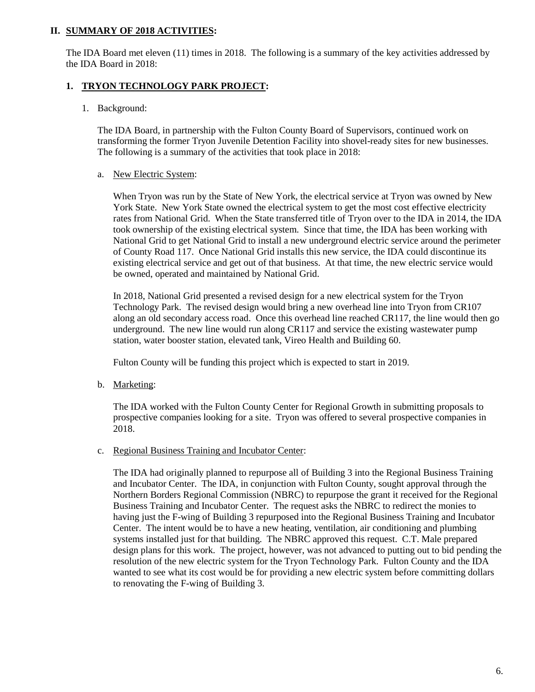## **II. SUMMARY OF 2018 ACTIVITIES:**

The IDA Board met eleven (11) times in 2018. The following is a summary of the key activities addressed by the IDA Board in 2018:

# **1. TRYON TECHNOLOGY PARK PROJECT:**

1. Background:

The IDA Board, in partnership with the Fulton County Board of Supervisors, continued work on transforming the former Tryon Juvenile Detention Facility into shovel-ready sites for new businesses. The following is a summary of the activities that took place in 2018:

#### a. New Electric System:

When Tryon was run by the State of New York, the electrical service at Tryon was owned by New York State. New York State owned the electrical system to get the most cost effective electricity rates from National Grid. When the State transferred title of Tryon over to the IDA in 2014, the IDA took ownership of the existing electrical system. Since that time, the IDA has been working with National Grid to get National Grid to install a new underground electric service around the perimeter of County Road 117. Once National Grid installs this new service, the IDA could discontinue its existing electrical service and get out of that business. At that time, the new electric service would be owned, operated and maintained by National Grid.

In 2018, National Grid presented a revised design for a new electrical system for the Tryon Technology Park. The revised design would bring a new overhead line into Tryon from CR107 along an old secondary access road. Once this overhead line reached CR117, the line would then go underground. The new line would run along CR117 and service the existing wastewater pump station, water booster station, elevated tank, Vireo Health and Building 60.

Fulton County will be funding this project which is expected to start in 2019.

b. Marketing:

The IDA worked with the Fulton County Center for Regional Growth in submitting proposals to prospective companies looking for a site. Tryon was offered to several prospective companies in 2018.

c. Regional Business Training and Incubator Center:

The IDA had originally planned to repurpose all of Building 3 into the Regional Business Training and Incubator Center. The IDA, in conjunction with Fulton County, sought approval through the Northern Borders Regional Commission (NBRC) to repurpose the grant it received for the Regional Business Training and Incubator Center. The request asks the NBRC to redirect the monies to having just the F-wing of Building 3 repurposed into the Regional Business Training and Incubator Center. The intent would be to have a new heating, ventilation, air conditioning and plumbing systems installed just for that building. The NBRC approved this request. C.T. Male prepared design plans for this work. The project, however, was not advanced to putting out to bid pending the resolution of the new electric system for the Tryon Technology Park. Fulton County and the IDA wanted to see what its cost would be for providing a new electric system before committing dollars to renovating the F-wing of Building 3.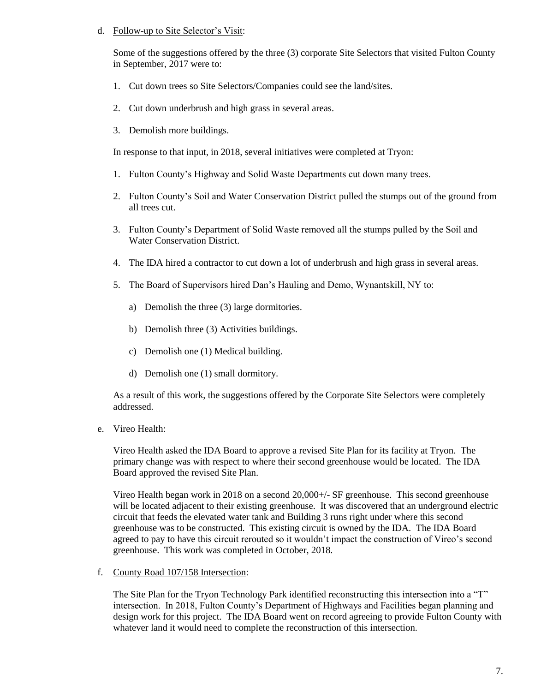### d. Follow-up to Site Selector's Visit:

Some of the suggestions offered by the three (3) corporate Site Selectors that visited Fulton County in September, 2017 were to:

- 1. Cut down trees so Site Selectors/Companies could see the land/sites.
- 2. Cut down underbrush and high grass in several areas.
- 3. Demolish more buildings.

In response to that input, in 2018, several initiatives were completed at Tryon:

- 1. Fulton County's Highway and Solid Waste Departments cut down many trees.
- 2. Fulton County's Soil and Water Conservation District pulled the stumps out of the ground from all trees cut.
- 3. Fulton County's Department of Solid Waste removed all the stumps pulled by the Soil and Water Conservation District.
- 4. The IDA hired a contractor to cut down a lot of underbrush and high grass in several areas.
- 5. The Board of Supervisors hired Dan's Hauling and Demo, Wynantskill, NY to:
	- a) Demolish the three (3) large dormitories.
	- b) Demolish three (3) Activities buildings.
	- c) Demolish one (1) Medical building.
	- d) Demolish one (1) small dormitory.

As a result of this work, the suggestions offered by the Corporate Site Selectors were completely addressed.

e. Vireo Health:

Vireo Health asked the IDA Board to approve a revised Site Plan for its facility at Tryon. The primary change was with respect to where their second greenhouse would be located. The IDA Board approved the revised Site Plan.

Vireo Health began work in 2018 on a second 20,000+/- SF greenhouse. This second greenhouse will be located adjacent to their existing greenhouse. It was discovered that an underground electric circuit that feeds the elevated water tank and Building 3 runs right under where this second greenhouse was to be constructed. This existing circuit is owned by the IDA. The IDA Board agreed to pay to have this circuit rerouted so it wouldn't impact the construction of Vireo's second greenhouse. This work was completed in October, 2018.

f. County Road 107/158 Intersection:

The Site Plan for the Tryon Technology Park identified reconstructing this intersection into a "T" intersection. In 2018, Fulton County's Department of Highways and Facilities began planning and design work for this project. The IDA Board went on record agreeing to provide Fulton County with whatever land it would need to complete the reconstruction of this intersection.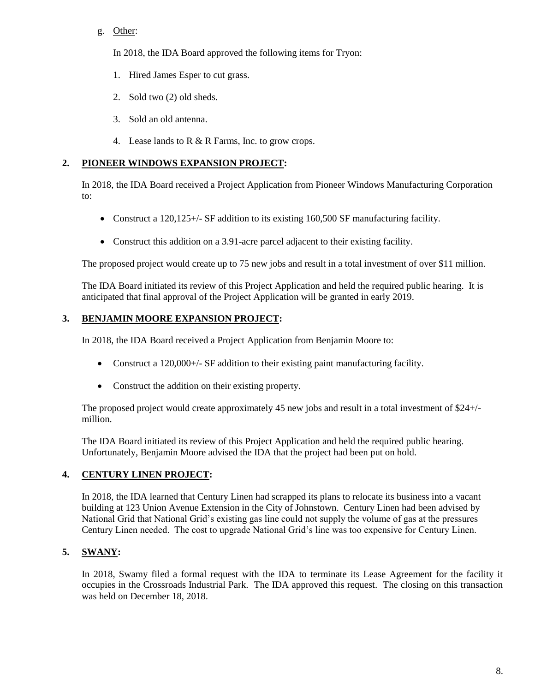# g. Other:

In 2018, the IDA Board approved the following items for Tryon:

- 1. Hired James Esper to cut grass.
- 2. Sold two (2) old sheds.
- 3. Sold an old antenna.
- 4. Lease lands to R & R Farms, Inc. to grow crops.

# **2. PIONEER WINDOWS EXPANSION PROJECT:**

In 2018, the IDA Board received a Project Application from Pioneer Windows Manufacturing Corporation to:

- Construct a 120,125+/- SF addition to its existing 160,500 SF manufacturing facility.
- Construct this addition on a 3.91-acre parcel adjacent to their existing facility.

The proposed project would create up to 75 new jobs and result in a total investment of over \$11 million.

The IDA Board initiated its review of this Project Application and held the required public hearing. It is anticipated that final approval of the Project Application will be granted in early 2019.

## **3. BENJAMIN MOORE EXPANSION PROJECT:**

In 2018, the IDA Board received a Project Application from Benjamin Moore to:

- Construct a 120,000+/- SF addition to their existing paint manufacturing facility.
- Construct the addition on their existing property.

The proposed project would create approximately 45 new jobs and result in a total investment of \$24+/ million.

The IDA Board initiated its review of this Project Application and held the required public hearing. Unfortunately, Benjamin Moore advised the IDA that the project had been put on hold.

# **4. CENTURY LINEN PROJECT:**

In 2018, the IDA learned that Century Linen had scrapped its plans to relocate its business into a vacant building at 123 Union Avenue Extension in the City of Johnstown. Century Linen had been advised by National Grid that National Grid's existing gas line could not supply the volume of gas at the pressures Century Linen needed. The cost to upgrade National Grid's line was too expensive for Century Linen.

# **5. SWANY:**

In 2018, Swamy filed a formal request with the IDA to terminate its Lease Agreement for the facility it occupies in the Crossroads Industrial Park. The IDA approved this request. The closing on this transaction was held on December 18, 2018.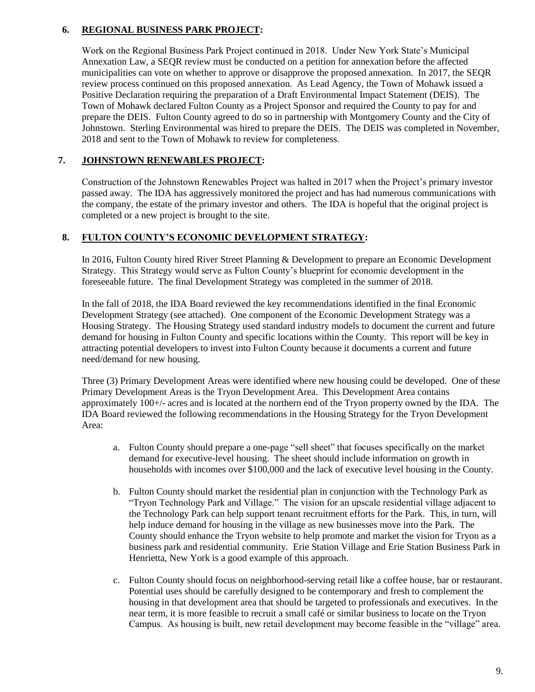# **6. REGIONAL BUSINESS PARK PROJECT:**

Work on the Regional Business Park Project continued in 2018. Under New York State's Municipal Annexation Law, a SEQR review must be conducted on a petition for annexation before the affected municipalities can vote on whether to approve or disapprove the proposed annexation. In 2017, the SEQR review process continued on this proposed annexation. As Lead Agency, the Town of Mohawk issued a Positive Declaration requiring the preparation of a Draft Environmental Impact Statement (DEIS). The Town of Mohawk declared Fulton County as a Project Sponsor and required the County to pay for and prepare the DEIS. Fulton County agreed to do so in partnership with Montgomery County and the City of Johnstown. Sterling Environmental was hired to prepare the DEIS. The DEIS was completed in November, 2018 and sent to the Town of Mohawk to review for completeness.

## **7. JOHNSTOWN RENEWABLES PROJECT:**

Construction of the Johnstown Renewables Project was halted in 2017 when the Project's primary investor passed away. The IDA has aggressively monitored the project and has had numerous communications with the company, the estate of the primary investor and others. The IDA is hopeful that the original project is completed or a new project is brought to the site.

# **8. FULTON COUNTY'S ECONOMIC DEVELOPMENT STRATEGY:**

In 2016, Fulton County hired River Street Planning & Development to prepare an Economic Development Strategy. This Strategy would serve as Fulton County's blueprint for economic development in the foreseeable future. The final Development Strategy was completed in the summer of 2018.

In the fall of 2018, the IDA Board reviewed the key recommendations identified in the final Economic Development Strategy (see attached). One component of the Economic Development Strategy was a Housing Strategy. The Housing Strategy used standard industry models to document the current and future demand for housing in Fulton County and specific locations within the County. This report will be key in attracting potential developers to invest into Fulton County because it documents a current and future need/demand for new housing.

Three (3) Primary Development Areas were identified where new housing could be developed. One of these Primary Development Areas is the Tryon Development Area. This Development Area contains approximately 100+/- acres and is located at the northern end of the Tryon property owned by the IDA. The IDA Board reviewed the following recommendations in the Housing Strategy for the Tryon Development Area:

- a. Fulton County should prepare a one-page "sell sheet" that focuses specifically on the market demand for executive-level housing. The sheet should include information on growth in households with incomes over \$100,000 and the lack of executive level housing in the County.
- b. Fulton County should market the residential plan in conjunction with the Technology Park as "Tryon Technology Park and Village." The vision for an upscale residential village adjacent to the Technology Park can help support tenant recruitment efforts for the Park. This, in turn, will help induce demand for housing in the village as new businesses move into the Park. The County should enhance the Tryon website to help promote and market the vision for Tryon as a business park and residential community. Erie Station Village and Erie Station Business Park in Henrietta, New York is a good example of this approach.
- c. Fulton County should focus on neighborhood-serving retail like a coffee house, bar or restaurant. Potential uses should be carefully designed to be contemporary and fresh to complement the housing in that development area that should be targeted to professionals and executives. In the near term, it is more feasible to recruit a small café or similar business to locate on the Tryon Campus. As housing is built, new retail development may become feasible in the "village" area.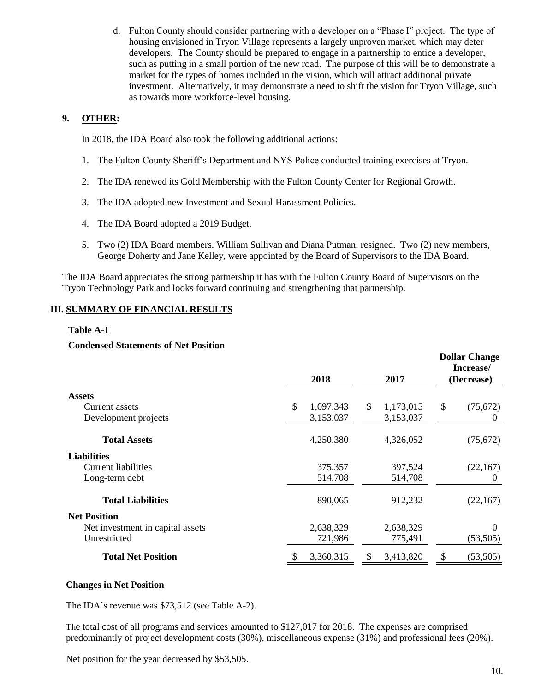d. Fulton County should consider partnering with a developer on a "Phase I" project. The type of housing envisioned in Tryon Village represents a largely unproven market, which may deter developers. The County should be prepared to engage in a partnership to entice a developer, such as putting in a small portion of the new road. The purpose of this will be to demonstrate a market for the types of homes included in the vision, which will attract additional private investment. Alternatively, it may demonstrate a need to shift the vision for Tryon Village, such as towards more workforce-level housing.

# **9. OTHER:**

In 2018, the IDA Board also took the following additional actions:

- 1. The Fulton County Sheriff's Department and NYS Police conducted training exercises at Tryon.
- 2. The IDA renewed its Gold Membership with the Fulton County Center for Regional Growth.
- 3. The IDA adopted new Investment and Sexual Harassment Policies.
- 4. The IDA Board adopted a 2019 Budget.
- 5. Two (2) IDA Board members, William Sullivan and Diana Putman, resigned. Two (2) new members, George Doherty and Jane Kelley, were appointed by the Board of Supervisors to the IDA Board.

The IDA Board appreciates the strong partnership it has with the Fulton County Board of Supervisors on the Tryon Technology Park and looks forward continuing and strengthening that partnership.

# **III. SUMMARY OF FINANCIAL RESULTS**

## **Table A-1**

### **Condensed Statements of Net Position**

|                                  | 2018 |           |    | 2017      | <b>Dollar Change</b><br>Increase/<br>(Decrease) |           |  |
|----------------------------------|------|-----------|----|-----------|-------------------------------------------------|-----------|--|
| <b>Assets</b>                    |      |           |    |           |                                                 |           |  |
| Current assets                   | \$   | 1,097,343 | \$ | 1,173,015 | \$                                              | (75, 672) |  |
| Development projects             |      | 3,153,037 |    | 3,153,037 |                                                 | $\theta$  |  |
| <b>Total Assets</b>              |      | 4,250,380 |    | 4,326,052 |                                                 | (75, 672) |  |
| <b>Liabilities</b>               |      |           |    |           |                                                 |           |  |
| <b>Current liabilities</b>       |      | 375,357   |    | 397,524   |                                                 | (22,167)  |  |
| Long-term debt                   |      | 514,708   |    | 514,708   |                                                 | 0         |  |
| <b>Total Liabilities</b>         |      | 890,065   |    | 912,232   |                                                 | (22, 167) |  |
| <b>Net Position</b>              |      |           |    |           |                                                 |           |  |
| Net investment in capital assets |      | 2,638,329 |    | 2,638,329 |                                                 | 0         |  |
| Unrestricted                     |      | 721,986   |    | 775,491   |                                                 | (53,505)  |  |
| <b>Total Net Position</b>        |      | 3,360,315 | S. | 3,413,820 | \$                                              | (53, 505) |  |

### **Changes in Net Position**

The IDA's revenue was \$73,512 (see Table A-2).

The total cost of all programs and services amounted to \$127,017 for 2018. The expenses are comprised predominantly of project development costs (30%), miscellaneous expense (31%) and professional fees (20%).

Net position for the year decreased by \$53,505.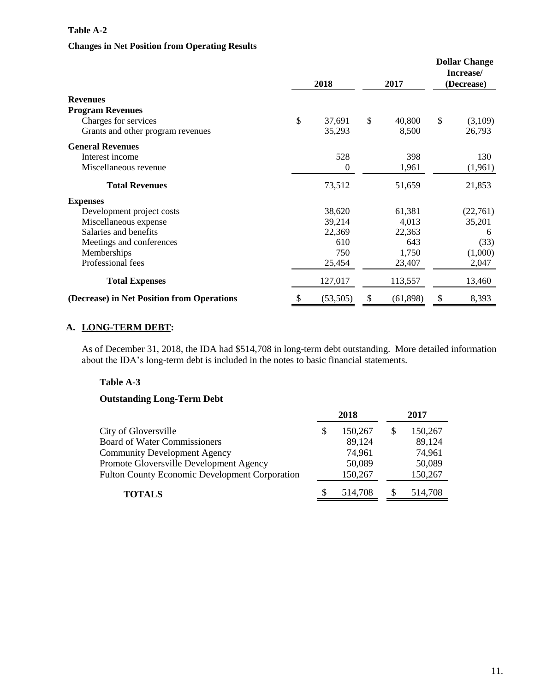### **Table A-2**

### **Changes in Net Position from Operating Results**

|                                            |    | 2018      | 2017 |           | <b>Dollar Change</b><br>Increase/<br>(Decrease) |          |
|--------------------------------------------|----|-----------|------|-----------|-------------------------------------------------|----------|
| <b>Revenues</b>                            |    |           |      |           |                                                 |          |
| <b>Program Revenues</b>                    |    |           |      |           |                                                 |          |
| Charges for services                       | \$ | 37,691    | \$   | 40,800    | \$                                              | (3,109)  |
| Grants and other program revenues          |    | 35,293    |      | 8,500     |                                                 | 26,793   |
| <b>General Revenues</b>                    |    |           |      |           |                                                 |          |
| Interest income                            |    | 528       |      | 398       |                                                 | 130      |
| Miscellaneous revenue                      |    | $\theta$  |      | 1,961     |                                                 | (1,961)  |
| <b>Total Revenues</b>                      |    | 73,512    |      | 51,659    |                                                 | 21,853   |
| <b>Expenses</b>                            |    |           |      |           |                                                 |          |
| Development project costs                  |    | 38,620    |      | 61,381    |                                                 | (22,761) |
| Miscellaneous expense                      |    | 39,214    |      | 4,013     |                                                 | 35,201   |
| Salaries and benefits                      |    | 22,369    |      | 22,363    |                                                 | 6        |
| Meetings and conferences                   |    | 610       |      | 643       |                                                 | (33)     |
| Memberships                                |    | 750       |      | 1,750     |                                                 | (1,000)  |
| Professional fees                          |    | 25,454    |      | 23,407    |                                                 | 2,047    |
| <b>Total Expenses</b>                      |    | 127,017   |      | 113,557   |                                                 | 13,460   |
| (Decrease) in Net Position from Operations | S  | (53, 505) | \$   | (61, 898) | \$                                              | 8,393    |

# **A. LONG-TERM DEBT:**

As of December 31, 2018, the IDA had \$514,708 in long-term debt outstanding. More detailed information about the IDA's long-term debt is included in the notes to basic financial statements.

### **Table A-3**

# **Outstanding Long-Term Debt**

|                                                       | 2018 |         | 2017    |
|-------------------------------------------------------|------|---------|---------|
| City of Gloversville                                  | S    | 150,267 | 150,267 |
| <b>Board of Water Commissioners</b>                   |      | 89,124  | 89,124  |
| <b>Community Development Agency</b>                   |      | 74,961  | 74,961  |
| Promote Gloversville Development Agency               |      | 50,089  | 50,089  |
| <b>Fulton County Economic Development Corporation</b> |      | 150,267 | 150,267 |
| <b>TOTALS</b>                                         |      | 514,708 | 514,708 |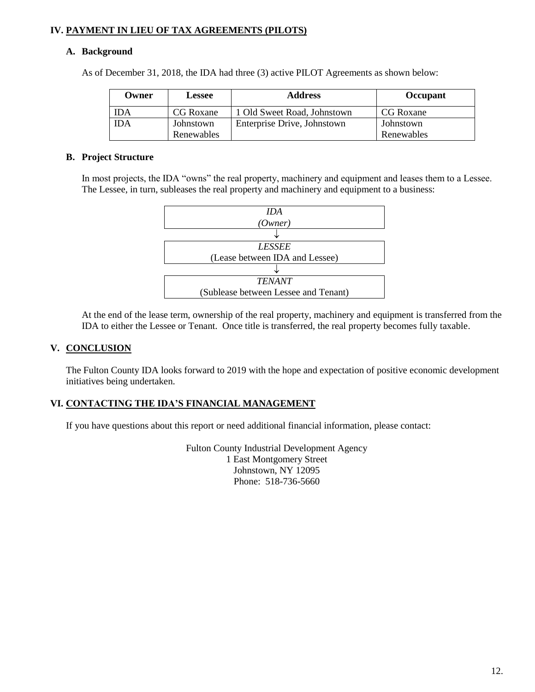# **IV. PAYMENT IN LIEU OF TAX AGREEMENTS (PILOTS)**

### **A. Background**

As of December 31, 2018, the IDA had three (3) active PILOT Agreements as shown below:

| Owner | <b>Lessee</b> | <b>Address</b>              | Occupant   |
|-------|---------------|-----------------------------|------------|
| IDA   | CG Roxane     | 1 Old Sweet Road, Johnstown | CG Roxane  |
| IDA   | Johnstown     | Enterprise Drive, Johnstown | Johnstown  |
|       | Renewables    |                             | Renewables |

### **B. Project Structure**

In most projects, the IDA "owns" the real property, machinery and equipment and leases them to a Lessee. The Lessee, in turn, subleases the real property and machinery and equipment to a business:



At the end of the lease term, ownership of the real property, machinery and equipment is transferred from the IDA to either the Lessee or Tenant. Once title is transferred, the real property becomes fully taxable.

### **V. CONCLUSION**

The Fulton County IDA looks forward to 2019 with the hope and expectation of positive economic development initiatives being undertaken.

### **VI. CONTACTING THE IDA'S FINANCIAL MANAGEMENT**

If you have questions about this report or need additional financial information, please contact:

Fulton County Industrial Development Agency 1 East Montgomery Street Johnstown, NY 12095 Phone: 518-736-5660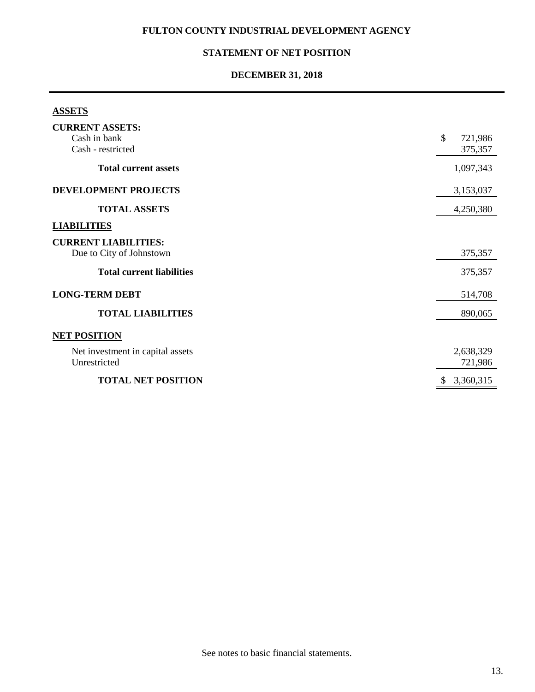# **STATEMENT OF NET POSITION**

# **DECEMBER 31, 2018**

# **ASSETS**

| <b>CURRENT ASSETS:</b>           |                 |
|----------------------------------|-----------------|
| Cash in bank                     | \$<br>721,986   |
| Cash - restricted                | 375,357         |
| <b>Total current assets</b>      | 1,097,343       |
| DEVELOPMENT PROJECTS             | 3,153,037       |
| <b>TOTAL ASSETS</b>              | 4,250,380       |
| <b>LIABILITIES</b>               |                 |
| <b>CURRENT LIABILITIES:</b>      |                 |
| Due to City of Johnstown         | 375,357         |
| <b>Total current liabilities</b> | 375,357         |
| <b>LONG-TERM DEBT</b>            | 514,708         |
| <b>TOTAL LIABILITIES</b>         | 890,065         |
| <b>NET POSITION</b>              |                 |
| Net investment in capital assets | 2,638,329       |
| Unrestricted                     | 721,986         |
| <b>TOTAL NET POSITION</b>        | 3,360,315<br>\$ |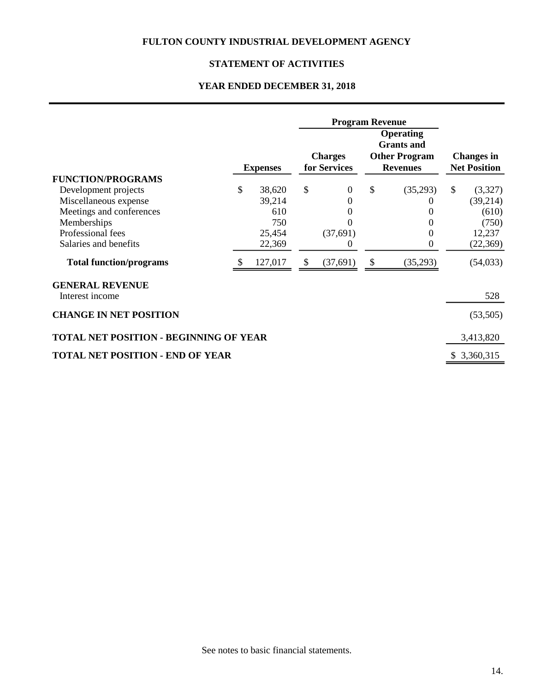# **STATEMENT OF ACTIVITIES**

# **YEAR ENDED DECEMBER 31, 2018**

|                                               |    |                 |               | <b>Program Revenue</b>         |                                                                                  |              |                                          |
|-----------------------------------------------|----|-----------------|---------------|--------------------------------|----------------------------------------------------------------------------------|--------------|------------------------------------------|
|                                               |    | <b>Expenses</b> |               | <b>Charges</b><br>for Services | <b>Operating</b><br><b>Grants</b> and<br><b>Other Program</b><br><b>Revenues</b> |              | <b>Changes in</b><br><b>Net Position</b> |
| <b>FUNCTION/PROGRAMS</b>                      |    |                 |               |                                |                                                                                  |              |                                          |
| Development projects                          | \$ | 38,620          | $\mathcal{S}$ | $\theta$                       | \$<br>(35,293)                                                                   | $\mathbb{S}$ | (3,327)                                  |
| Miscellaneous expense                         |    | 39,214          |               | 0                              | O                                                                                |              | (39,214)                                 |
| Meetings and conferences                      |    | 610             |               | 0                              | $\theta$                                                                         |              | (610)                                    |
| Memberships                                   |    | 750             |               |                                | $\Omega$                                                                         |              | (750)                                    |
| Professional fees                             |    | 25,454          |               | (37,691)                       | $\overline{0}$                                                                   |              | 12,237                                   |
| Salaries and benefits                         |    | 22,369          |               | $\theta$                       | $\boldsymbol{0}$                                                                 |              | (22,369)                                 |
| <b>Total function/programs</b>                |    | 127,017         | \$            | (37,691)                       | \$<br>(35,293)                                                                   |              | (54, 033)                                |
| <b>GENERAL REVENUE</b><br>Interest income     |    |                 |               |                                |                                                                                  |              | 528                                      |
| <b>CHANGE IN NET POSITION</b>                 |    |                 |               |                                |                                                                                  |              | (53,505)                                 |
| <b>TOTAL NET POSITION - BEGINNING OF YEAR</b> |    |                 |               |                                |                                                                                  | 3,413,820    |                                          |
| <b>TOTAL NET POSITION - END OF YEAR</b>       |    |                 |               |                                |                                                                                  |              | \$3,360,315                              |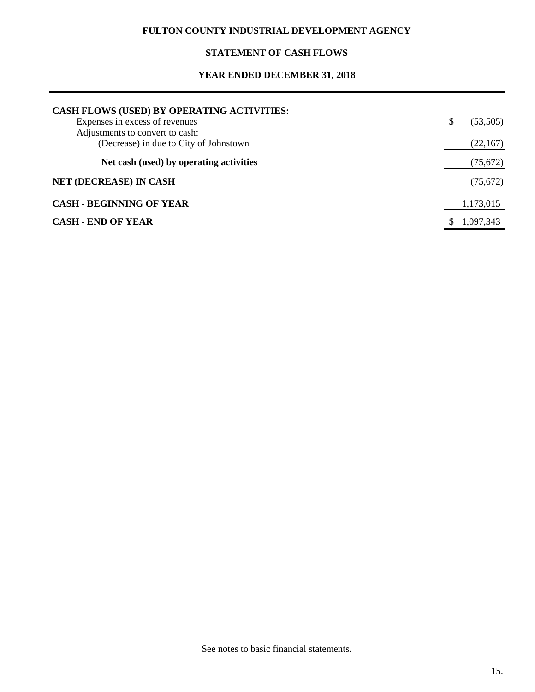# **STATEMENT OF CASH FLOWS**

# **YEAR ENDED DECEMBER 31, 2018**

| CASH FLOWS (USED) BY OPERATING ACTIVITIES:                                |                |
|---------------------------------------------------------------------------|----------------|
| Expenses in excess of revenues                                            | \$<br>(53,505) |
| Adjustments to convert to cash:<br>(Decrease) in due to City of Johnstown | (22,167)       |
| Net cash (used) by operating activities                                   | (75, 672)      |
| <b>NET (DECREASE) IN CASH</b>                                             | (75,672)       |
| <b>CASH - BEGINNING OF YEAR</b>                                           | 1,173,015      |
| <b>CASH - END OF YEAR</b>                                                 | 1,097,343      |

See notes to basic financial statements.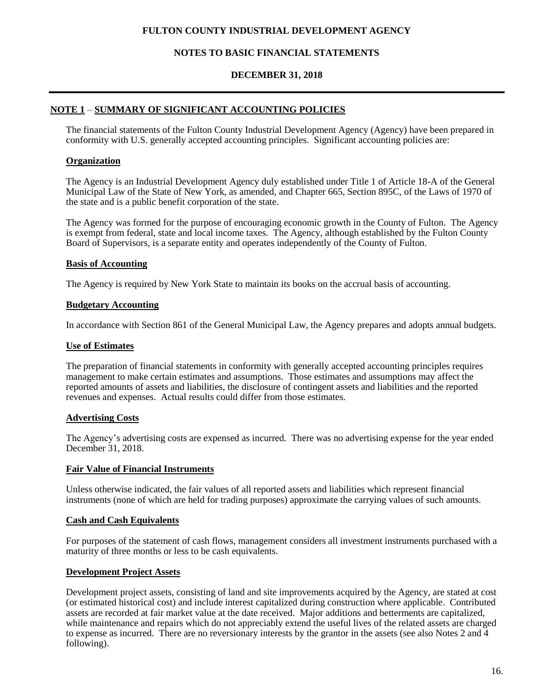# **NOTES TO BASIC FINANCIAL STATEMENTS**

#### **DECEMBER 31, 2018**

### **NOTE 1** – **SUMMARY OF SIGNIFICANT ACCOUNTING POLICIES**

The financial statements of the Fulton County Industrial Development Agency (Agency) have been prepared in conformity with U.S. generally accepted accounting principles. Significant accounting policies are:

### **Organization**

The Agency is an Industrial Development Agency duly established under Title 1 of Article 18-A of the General Municipal Law of the State of New York, as amended, and Chapter 665, Section 895C, of the Laws of 1970 of the state and is a public benefit corporation of the state.

The Agency was formed for the purpose of encouraging economic growth in the County of Fulton. The Agency is exempt from federal, state and local income taxes. The Agency, although established by the Fulton County Board of Supervisors, is a separate entity and operates independently of the County of Fulton.

#### **Basis of Accounting**

The Agency is required by New York State to maintain its books on the accrual basis of accounting.

#### **Budgetary Accounting**

In accordance with Section 861 of the General Municipal Law, the Agency prepares and adopts annual budgets.

#### **Use of Estimates**

The preparation of financial statements in conformity with generally accepted accounting principles requires management to make certain estimates and assumptions. Those estimates and assumptions may affect the reported amounts of assets and liabilities, the disclosure of contingent assets and liabilities and the reported revenues and expenses. Actual results could differ from those estimates.

### **Advertising Costs**

The Agency's advertising costs are expensed as incurred. There was no advertising expense for the year ended December 31, 2018.

#### **Fair Value of Financial Instruments**

Unless otherwise indicated, the fair values of all reported assets and liabilities which represent financial instruments (none of which are held for trading purposes) approximate the carrying values of such amounts.

#### **Cash and Cash Equivalents**

For purposes of the statement of cash flows, management considers all investment instruments purchased with a maturity of three months or less to be cash equivalents.

### **Development Project Assets**

Development project assets, consisting of land and site improvements acquired by the Agency, are stated at cost (or estimated historical cost) and include interest capitalized during construction where applicable. Contributed assets are recorded at fair market value at the date received. Major additions and betterments are capitalized, while maintenance and repairs which do not appreciably extend the useful lives of the related assets are charged to expense as incurred. There are no reversionary interests by the grantor in the assets (see also Notes 2 and 4 following).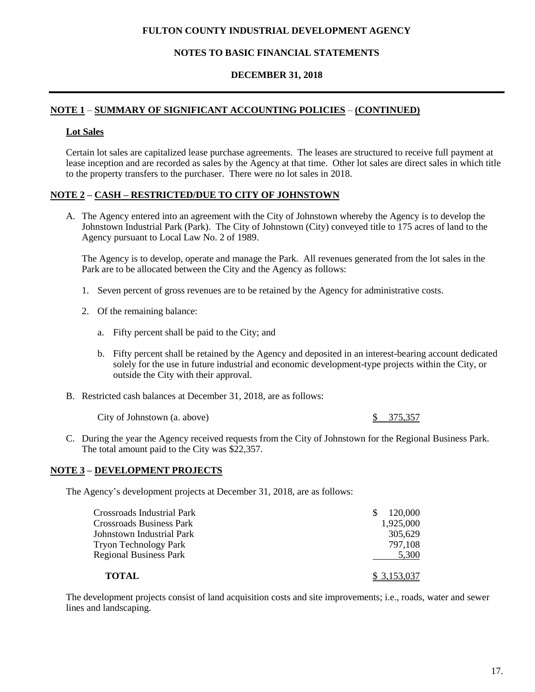### **NOTES TO BASIC FINANCIAL STATEMENTS**

#### **DECEMBER 31, 2018**

# **NOTE 1** – **SUMMARY OF SIGNIFICANT ACCOUNTING POLICIES** – **(CONTINUED)**

#### **Lot Sales**

Certain lot sales are capitalized lease purchase agreements. The leases are structured to receive full payment at lease inception and are recorded as sales by the Agency at that time. Other lot sales are direct sales in which title to the property transfers to the purchaser. There were no lot sales in 2018.

#### **NOTE 2 – CASH – RESTRICTED/DUE TO CITY OF JOHNSTOWN**

A. The Agency entered into an agreement with the City of Johnstown whereby the Agency is to develop the Johnstown Industrial Park (Park). The City of Johnstown (City) conveyed title to 175 acres of land to the Agency pursuant to Local Law No. 2 of 1989.

The Agency is to develop, operate and manage the Park. All revenues generated from the lot sales in the Park are to be allocated between the City and the Agency as follows:

- 1. Seven percent of gross revenues are to be retained by the Agency for administrative costs.
- 2. Of the remaining balance:
	- a. Fifty percent shall be paid to the City; and
	- b. Fifty percent shall be retained by the Agency and deposited in an interest-bearing account dedicated solely for the use in future industrial and economic development-type projects within the City, or outside the City with their approval.
- B. Restricted cash balances at December 31, 2018, are as follows:

City of Johnstown (a. above) \$ 375,357

C. During the year the Agency received requests from the City of Johnstown for the Regional Business Park. The total amount paid to the City was \$22,357.

### **NOTE 3 – DEVELOPMENT PROJECTS**

The Agency's development projects at December 31, 2018, are as follows:

| Crossroads Industrial Park    | 120,000     |
|-------------------------------|-------------|
| Crossroads Business Park      | 1,925,000   |
| Johnstown Industrial Park     | 305.629     |
| Tryon Technology Park         | 797,108     |
| <b>Regional Business Park</b> | 5,300       |
| <b>TOTAL</b>                  | \$3,153,037 |

The development projects consist of land acquisition costs and site improvements; i.e., roads, water and sewer lines and landscaping.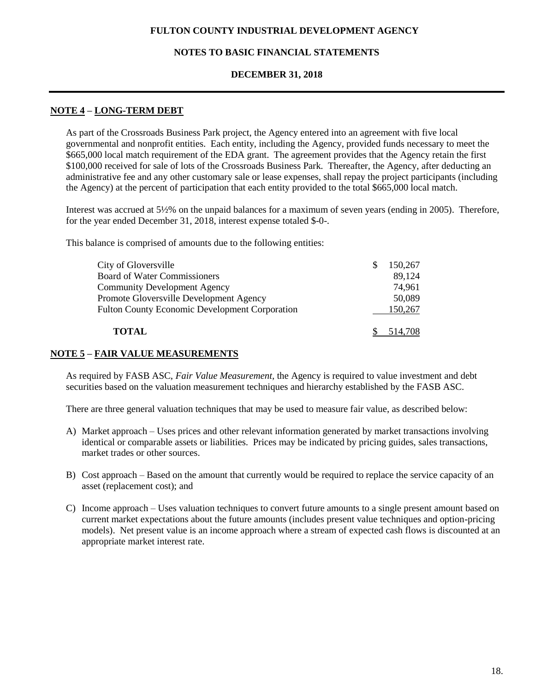# **NOTES TO BASIC FINANCIAL STATEMENTS**

### **DECEMBER 31, 2018**

### **NOTE 4 – LONG-TERM DEBT**

As part of the Crossroads Business Park project, the Agency entered into an agreement with five local governmental and nonprofit entities. Each entity, including the Agency, provided funds necessary to meet the \$665,000 local match requirement of the EDA grant. The agreement provides that the Agency retain the first \$100,000 received for sale of lots of the Crossroads Business Park. Thereafter, the Agency, after deducting an administrative fee and any other customary sale or lease expenses, shall repay the project participants (including the Agency) at the percent of participation that each entity provided to the total \$665,000 local match.

Interest was accrued at 5½% on the unpaid balances for a maximum of seven years (ending in 2005). Therefore, for the year ended December 31, 2018, interest expense totaled \$-0-.

This balance is comprised of amounts due to the following entities:

| City of Gloversville                                  | S. | 150.267 |
|-------------------------------------------------------|----|---------|
| <b>Board of Water Commissioners</b>                   |    | 89,124  |
| <b>Community Development Agency</b>                   |    | 74,961  |
| Promote Gloversville Development Agency               |    | 50,089  |
| <b>Fulton County Economic Development Corporation</b> |    | 150,267 |
| <b>TOTAL</b>                                          |    | 514,708 |

### **NOTE 5 – FAIR VALUE MEASUREMENTS**

As required by FASB ASC, *Fair Value Measurement,* the Agency is required to value investment and debt securities based on the valuation measurement techniques and hierarchy established by the FASB ASC.

There are three general valuation techniques that may be used to measure fair value, as described below:

- A) Market approach Uses prices and other relevant information generated by market transactions involving identical or comparable assets or liabilities. Prices may be indicated by pricing guides, sales transactions, market trades or other sources.
- B) Cost approach Based on the amount that currently would be required to replace the service capacity of an asset (replacement cost); and
- C) Income approach Uses valuation techniques to convert future amounts to a single present amount based on current market expectations about the future amounts (includes present value techniques and option-pricing models). Net present value is an income approach where a stream of expected cash flows is discounted at an appropriate market interest rate.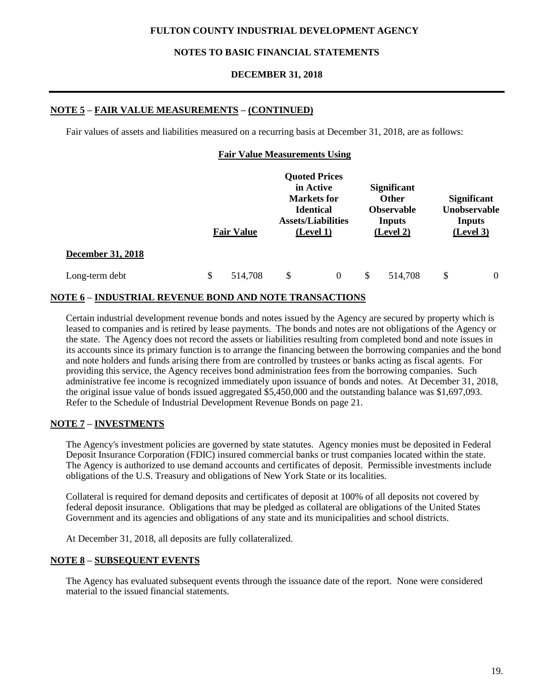# **NOTES TO BASIC FINANCIAL STATEMENTS**

### **DECEMBER 31, 2018**

# **NOTE 5 – FAIR VALUE MEASUREMENTS – (CONTINUED)**

Fair values of assets and liabilities measured on a recurring basis at December 31, 2018, are as follows:

|  |  | <b>Fair Value Measurements Using</b> |  |
|--|--|--------------------------------------|--|
|--|--|--------------------------------------|--|

|                          | <b>Fair Value</b> |         | <b>Quoted Prices</b><br>in Active<br><b>Markets</b> for<br><b>Identical</b><br><b>Assets/Liabilities</b><br>(Level 1) |                | <b>Significant</b><br><b>Other</b><br><b>Observable</b><br><b>Inputs</b><br>(Level 2) |         | <b>Significant</b><br>Unobservable<br><b>Inputs</b><br>(Level 3) |          |
|--------------------------|-------------------|---------|-----------------------------------------------------------------------------------------------------------------------|----------------|---------------------------------------------------------------------------------------|---------|------------------------------------------------------------------|----------|
| <b>December 31, 2018</b> |                   |         |                                                                                                                       |                |                                                                                       |         |                                                                  |          |
| Long-term debt           | \$                | 514,708 | \$                                                                                                                    | $\overline{0}$ | \$                                                                                    | 514,708 | \$                                                               | $\theta$ |

## **NOTE 6 – INDUSTRIAL REVENUE BOND AND NOTE TRANSACTIONS**

Certain industrial development revenue bonds and notes issued by the Agency are secured by property which is leased to companies and is retired by lease payments. The bonds and notes are not obligations of the Agency or the state. The Agency does not record the assets or liabilities resulting from completed bond and note issues in its accounts since its primary function is to arrange the financing between the borrowing companies and the bond and note holders and funds arising there from are controlled by trustees or banks acting as fiscal agents. For providing this service, the Agency receives bond administration fees from the borrowing companies. Such administrative fee income is recognized immediately upon issuance of bonds and notes. At December 31, 2018, the original issue value of bonds issued aggregated \$5,450,000 and the outstanding balance was \$1,697,093. Refer to the Schedule of Industrial Development Revenue Bonds on page 21.

### **NOTE 7 – INVESTMENTS**

The Agency's investment policies are governed by state statutes. Agency monies must be deposited in Federal Deposit Insurance Corporation (FDIC) insured commercial banks or trust companies located within the state. The Agency is authorized to use demand accounts and certificates of deposit. Permissible investments include obligations of the U.S. Treasury and obligations of New York State or its localities.

Collateral is required for demand deposits and certificates of deposit at 100% of all deposits not covered by federal deposit insurance. Obligations that may be pledged as collateral are obligations of the United States Government and its agencies and obligations of any state and its municipalities and school districts.

At December 31, 2018, all deposits are fully collateralized.

# **NOTE 8 – SUBSEQUENT EVENTS**

The Agency has evaluated subsequent events through the issuance date of the report. None were considered material to the issued financial statements.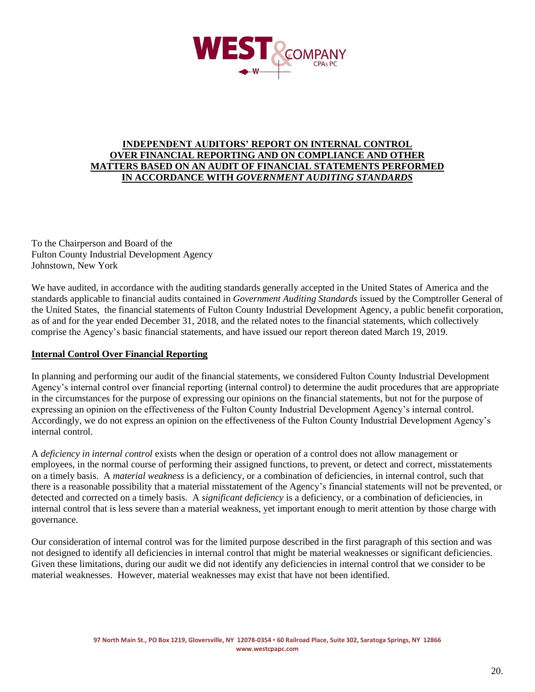

### **INDEPENDENT AUDITORS' REPORT ON INTERNAL CONTROL OVER FINANCIAL REPORTING AND ON COMPLIANCE AND OTHER MATTERS BASED ON AN AUDIT OF FINANCIAL STATEMENTS PERFORMED IN ACCORDANCE WITH** *GOVERNMENT AUDITING STANDARDS*

To the Chairperson and Board of the Fulton County Industrial Development Agency Johnstown, New York

We have audited, in accordance with the auditing standards generally accepted in the United States of America and the standards applicable to financial audits contained in *Government Auditing Standards* issued by the Comptroller General of the United States, the financial statements of Fulton County Industrial Development Agency, a public benefit corporation, as of and for the year ended December 31, 2018, and the related notes to the financial statements, which collectively comprise the Agency's basic financial statements, and have issued our report thereon dated March 19, 2019.

### **Internal Control Over Financial Reporting**

In planning and performing our audit of the financial statements, we considered Fulton County Industrial Development Agency's internal control over financial reporting (internal control) to determine the audit procedures that are appropriate in the circumstances for the purpose of expressing our opinions on the financial statements, but not for the purpose of expressing an opinion on the effectiveness of the Fulton County Industrial Development Agency's internal control. Accordingly, we do not express an opinion on the effectiveness of the Fulton County Industrial Development Agency's internal control.

A *deficiency in internal control* exists when the design or operation of a control does not allow management or employees, in the normal course of performing their assigned functions, to prevent, or detect and correct, misstatements on a timely basis. A *material weakness* is a deficiency, or a combination of deficiencies, in internal control, such that there is a reasonable possibility that a material misstatement of the Agency's financial statements will not be prevented, or detected and corrected on a timely basis. A *significant deficiency* is a deficiency, or a combination of deficiencies, in internal control that is less severe than a material weakness, yet important enough to merit attention by those charge with governance.

Our consideration of internal control was for the limited purpose described in the first paragraph of this section and was not designed to identify all deficiencies in internal control that might be material weaknesses or significant deficiencies. Given these limitations, during our audit we did not identify any deficiencies in internal control that we consider to be material weaknesses. However, material weaknesses may exist that have not been identified.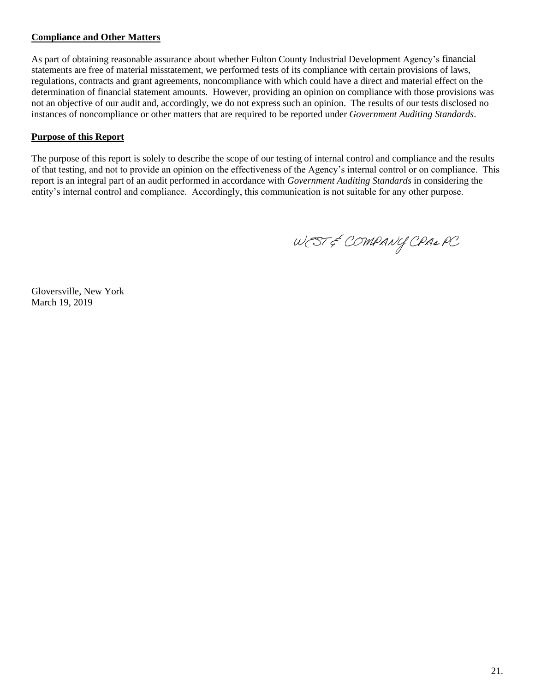# **Compliance and Other Matters**

As part of obtaining reasonable assurance about whether Fulton County Industrial Development Agency's financial statements are free of material misstatement, we performed tests of its compliance with certain provisions of laws, regulations, contracts and grant agreements, noncompliance with which could have a direct and material effect on the determination of financial statement amounts. However, providing an opinion on compliance with those provisions was not an objective of our audit and, accordingly, we do not express such an opinion. The results of our tests disclosed no instances of noncompliance or other matters that are required to be reported under *Government Auditing Standards*.

# **Purpose of this Report**

The purpose of this report is solely to describe the scope of our testing of internal control and compliance and the results of that testing, and not to provide an opinion on the effectiveness of the Agency's internal control or on compliance. This report is an integral part of an audit performed in accordance with *Government Auditing Standards* in considering the entity's internal control and compliance. Accordingly, this communication is not suitable for any other purpose.

WEST & COMPANY CPA& PC

Gloversville, New York March 19, 2019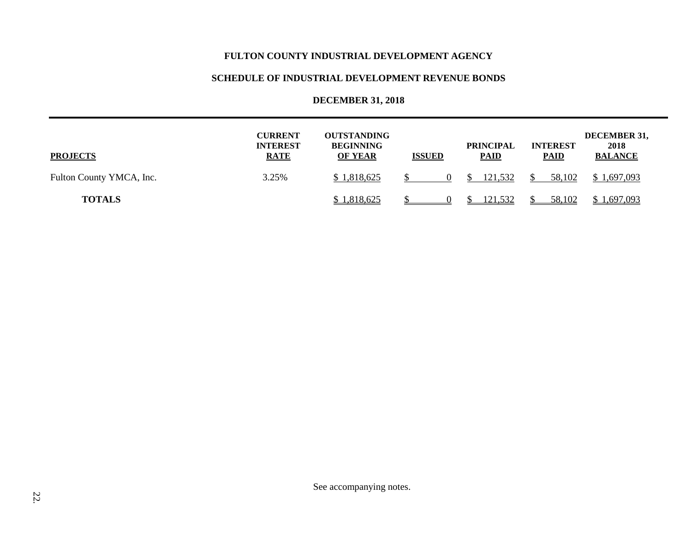# **SCHEDULE OF INDUSTRIAL DEVELOPMENT REVENUE BONDS**

# **DECEMBER 31, 2018**

| <b>PROJECTS</b>          | <b>CURRENT</b><br><b>INTEREST</b><br><b>RATE</b> | <b>OUTSTANDING</b><br><b>BEGINNING</b><br><b>OF YEAR</b> | <b>ISSUED</b> | <b>PRINCIPAL</b><br><b>PAID</b> | <b>INTEREST</b><br><b>PAID</b> | DECEMBER 31,<br>2018<br><b>BALANCE</b> |
|--------------------------|--------------------------------------------------|----------------------------------------------------------|---------------|---------------------------------|--------------------------------|----------------------------------------|
| Fulton County YMCA, Inc. | 3.25%                                            | \$1,818,625                                              |               | 121,532                         | 58,102                         | \$1,697,093                            |
| <b>TOTALS</b>            |                                                  | \$1,818,625                                              |               | 121,532                         | 58,102                         | \$1,697,093                            |

See accompanying notes.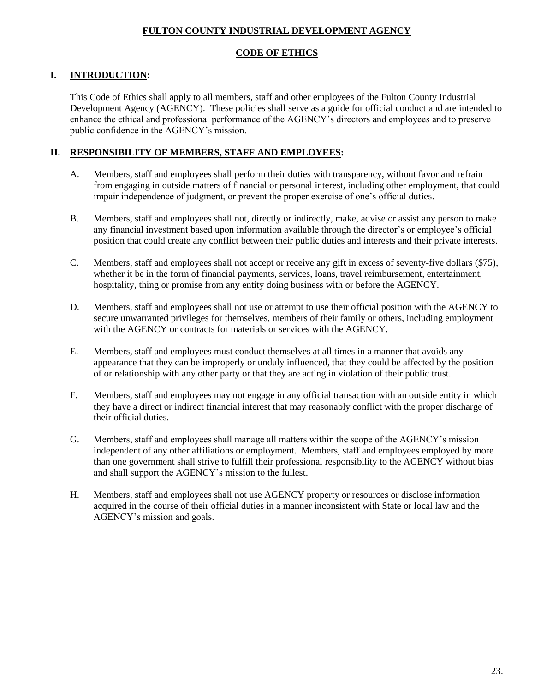# **CODE OF ETHICS**

# **I. INTRODUCTION:**

This Code of Ethics shall apply to all members, staff and other employees of the Fulton County Industrial Development Agency (AGENCY). These policies shall serve as a guide for official conduct and are intended to enhance the ethical and professional performance of the AGENCY's directors and employees and to preserve public confidence in the AGENCY's mission.

# **II. RESPONSIBILITY OF MEMBERS, STAFF AND EMPLOYEES:**

- A. Members, staff and employees shall perform their duties with transparency, without favor and refrain from engaging in outside matters of financial or personal interest, including other employment, that could impair independence of judgment, or prevent the proper exercise of one's official duties.
- B. Members, staff and employees shall not, directly or indirectly, make, advise or assist any person to make any financial investment based upon information available through the director's or employee's official position that could create any conflict between their public duties and interests and their private interests.
- C. Members, staff and employees shall not accept or receive any gift in excess of seventy-five dollars (\$75), whether it be in the form of financial payments, services, loans, travel reimbursement, entertainment, hospitality, thing or promise from any entity doing business with or before the AGENCY.
- D. Members, staff and employees shall not use or attempt to use their official position with the AGENCY to secure unwarranted privileges for themselves, members of their family or others, including employment with the AGENCY or contracts for materials or services with the AGENCY.
- E. Members, staff and employees must conduct themselves at all times in a manner that avoids any appearance that they can be improperly or unduly influenced, that they could be affected by the position of or relationship with any other party or that they are acting in violation of their public trust.
- F. Members, staff and employees may not engage in any official transaction with an outside entity in which they have a direct or indirect financial interest that may reasonably conflict with the proper discharge of their official duties.
- G. Members, staff and employees shall manage all matters within the scope of the AGENCY's mission independent of any other affiliations or employment. Members, staff and employees employed by more than one government shall strive to fulfill their professional responsibility to the AGENCY without bias and shall support the AGENCY's mission to the fullest.
- H. Members, staff and employees shall not use AGENCY property or resources or disclose information acquired in the course of their official duties in a manner inconsistent with State or local law and the AGENCY's mission and goals.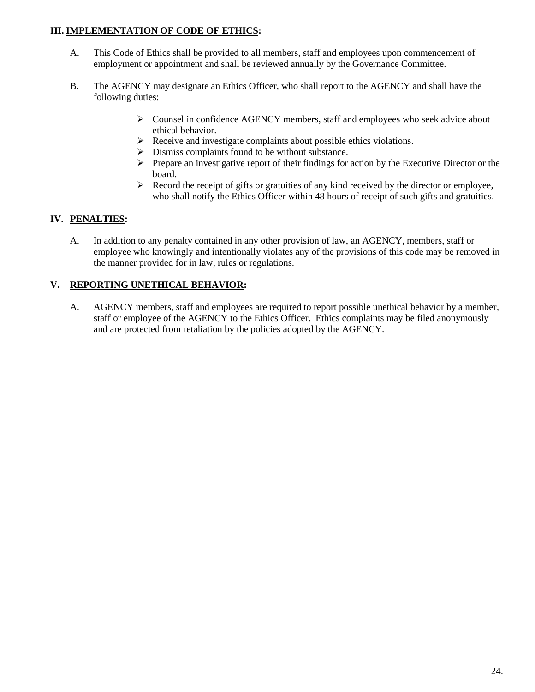# **III. IMPLEMENTATION OF CODE OF ETHICS:**

- A. This Code of Ethics shall be provided to all members, staff and employees upon commencement of employment or appointment and shall be reviewed annually by the Governance Committee.
- B. The AGENCY may designate an Ethics Officer, who shall report to the AGENCY and shall have the following duties:
	- $\triangleright$  Counsel in confidence AGENCY members, staff and employees who seek advice about ethical behavior.
	- $\triangleright$  Receive and investigate complaints about possible ethics violations.
	- $\triangleright$  Dismiss complaints found to be without substance.
	- $\triangleright$  Prepare an investigative report of their findings for action by the Executive Director or the board.
	- $\triangleright$  Record the receipt of gifts or gratuities of any kind received by the director or employee, who shall notify the Ethics Officer within 48 hours of receipt of such gifts and gratuities.

# **IV. PENALTIES:**

A. In addition to any penalty contained in any other provision of law, an AGENCY, members, staff or employee who knowingly and intentionally violates any of the provisions of this code may be removed in the manner provided for in law, rules or regulations.

# **V. REPORTING UNETHICAL BEHAVIOR:**

A. AGENCY members, staff and employees are required to report possible unethical behavior by a member, staff or employee of the AGENCY to the Ethics Officer. Ethics complaints may be filed anonymously and are protected from retaliation by the policies adopted by the AGENCY.